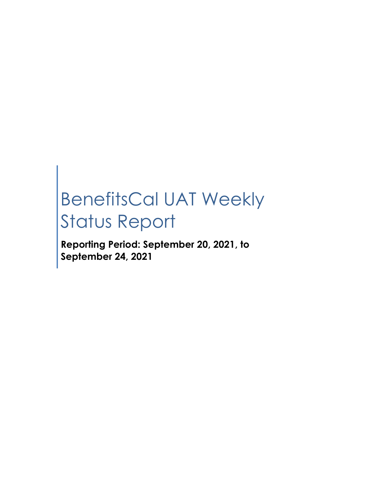# BenefitsCal UAT Weekly Status Report

**Reporting Period: September 20, 2021, to September 24, 2021**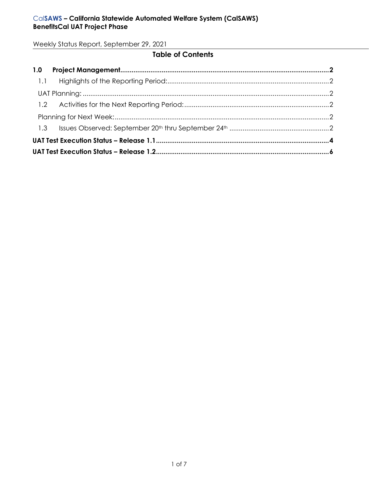# **Table of Contents**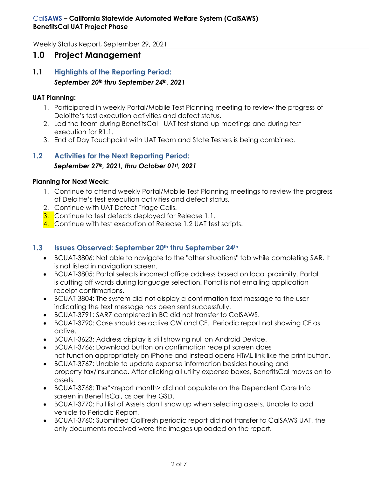# <span id="page-2-0"></span>**1.0 Project Management**

<span id="page-2-1"></span>**1.1 Highlights of the Reporting Period:** *September 20th thru September 24th, 2021*

#### <span id="page-2-2"></span>**UAT Planning:**

- 1. Participated in weekly Portal/Mobile Test Planning meeting to review the progress of Deloitte's test execution activities and defect status.
- 2. Led the team during BenefitsCal UAT test stand-up meetings and during test execution for R1.1.
- 3. End of Day Touchpoint with UAT Team and State Testers is being combined.

# <span id="page-2-3"></span>**1.2 Activities for the Next Reporting Period:** *September 27th, 2021, thru October 01st , 2021*

#### <span id="page-2-4"></span>**Planning for Next Week:**

- 1. Continue to attend weekly Portal/Mobile Test Planning meetings to review the progress of Deloitte's test execution activities and defect status.
- 2. Continue with UAT Defect Triage Calls.
- **3.** Continue to test defects deployed for Release 1.1.
- 4. Continue with test execution of Release 1.2 UAT test scripts.

## <span id="page-2-5"></span>**1.3 Issues Observed: September 20th thru September 24th**

- BCUAT-3806: Not able to navigate to the "other situations" tab while completing SAR. It is not listed in navigation screen.
- BCUAT-3805: Portal selects incorrect office address based on local proximity. Portal is cutting off words during language selection. Portal is not emailing application receipt confirmations.
- BCUAT-3804: The system did not display a confirmation text message to the user indicating the text message has been sent successfully.
- BCUAT-3791: SAR7 completed in BC did not transfer to CalSAWS.
- BCUAT-3790: Case should be active CW and CF. Periodic report not showing CF as active.
- BCUAT-3623: Address display is still showing null on Android Device.
- BCUAT-3766: Download button on confirmation receipt screen does not function appropriately on iPhone and instead opens HTML link like the print button.
- BCUAT-3767: Unable to update expense information besides housing and property tax/insurance. After clicking all utility expense boxes, BenefitsCal moves on to assets.
- BCUAT-3768: The "<report month> did not populate on the Dependent Care Info screen in BenefitsCal, as per the GSD.
- BCUAT-3770: Full list of Assets don't show up when selecting assets. Unable to add vehicle to Periodic Report.
- BCUAT-3760: Submitted CalFresh periodic report did not transfer to CalSAWS UAT, the only documents received were the images uploaded on the report.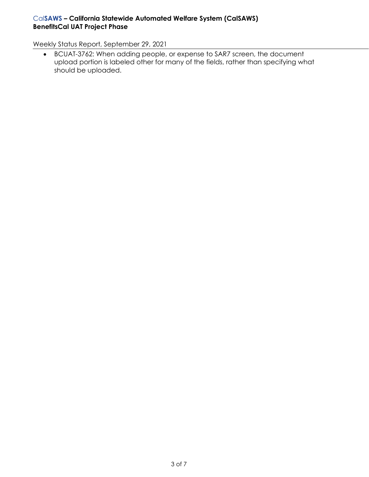## Cal**SAWS – California Statewide Automated Welfare System (CalSAWS) BenefitsCal UAT Project Phase**

Weekly Status Report, September 29, 2021

• BCUAT-3762: When adding people, or expense to SAR7 screen, the document upload portion is labeled other for many of the fields, rather than specifying what should be uploaded.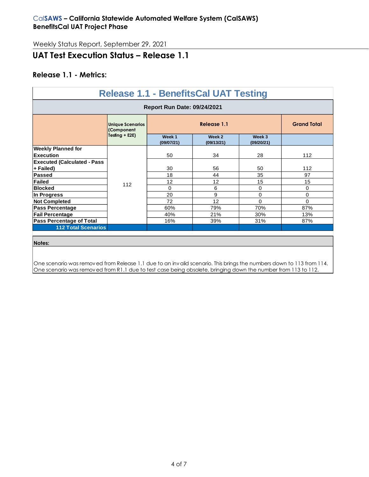# <span id="page-4-0"></span>**UAT Test Execution Status – Release 1.1**

## **Release 1.1 - Metrics:**

| <b>Release 1.1 - BenefitsCal UAT Testing</b>    |                                       |     |                      |                      |          |  |  |  |  |
|-------------------------------------------------|---------------------------------------|-----|----------------------|----------------------|----------|--|--|--|--|
| <b>Report Run Date: 09/24/2021</b>              |                                       |     |                      |                      |          |  |  |  |  |
|                                                 | <b>Unique Scenarios</b><br>(Component |     | <b>Grand Total</b>   |                      |          |  |  |  |  |
|                                                 | Testing + E2E)                        |     | Week 2<br>(09/13/21) | Week 3<br>(09/20/21) |          |  |  |  |  |
| <b>Weekly Planned for</b><br><b>Execution</b>   |                                       | 50  | 34                   | 28                   | 112      |  |  |  |  |
| <b>Executed (Calculated - Pass</b><br>+ Failed) | 112                                   | 30  | 56                   | 50                   | 112      |  |  |  |  |
| Passed                                          |                                       | 18  | 44                   | 35                   | 97       |  |  |  |  |
| <b>Failed</b>                                   |                                       | 12  | 12                   | 15                   | 15       |  |  |  |  |
| <b>Blocked</b>                                  |                                       | 0   | 6                    | $\mathbf 0$          | 0        |  |  |  |  |
| In Progress                                     |                                       | 20  | 9                    | $\mathbf 0$          | 0        |  |  |  |  |
| <b>Not Completed</b>                            |                                       | 72  | 12                   | $\mathbf 0$          | $\Omega$ |  |  |  |  |
| Pass Percentage                                 |                                       | 60% | 79%                  | 70%                  | 87%      |  |  |  |  |
| <b>Fail Percentage</b>                          |                                       | 40% | 21%                  | 30%                  | 13%      |  |  |  |  |
| Pass Percentage of Total                        |                                       | 16% | 39%                  | 31%                  | 87%      |  |  |  |  |
| <b>112 Total Scenarios</b>                      |                                       |     |                      |                      |          |  |  |  |  |
|                                                 |                                       |     |                      |                      |          |  |  |  |  |
| Notes:                                          |                                       |     |                      |                      |          |  |  |  |  |

One scenario was removed from Release 1.1 due to an invalid scenario. This brings the numbers down to 113 from 114. One scenario was removed from R1.1 due to test case being obsolete, bringing down the number from 113 to 112.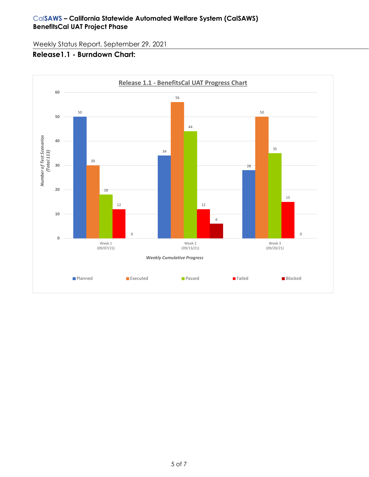## **Release1.1 - Burndown Chart:**

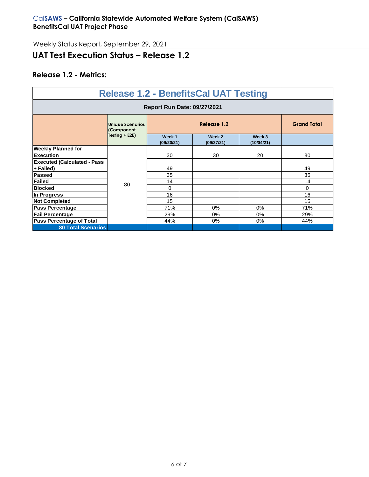# <span id="page-6-0"></span>**UAT Test Execution Status – Release 1.2**

## **Release 1.2 - Metrics:**

| <b>Release 1.2 - BenefitsCal UAT Testing</b> |                                       |                      |                      |                      |                    |  |  |  |  |
|----------------------------------------------|---------------------------------------|----------------------|----------------------|----------------------|--------------------|--|--|--|--|
| <b>Report Run Date: 09/27/2021</b>           |                                       |                      |                      |                      |                    |  |  |  |  |
|                                              | <b>Unique Scenarios</b><br>(Component | Release 1.2          |                      |                      | <b>Grand Total</b> |  |  |  |  |
|                                              | Testing + E2E)                        | Week 1<br>(09/20/21) | Week 2<br>(09/27/21) | Week 3<br>(10/04/21) |                    |  |  |  |  |
| <b>Weekly Planned for</b>                    |                                       |                      |                      |                      |                    |  |  |  |  |
| Execution                                    | 80                                    | 30                   | 30                   | 20                   | 80                 |  |  |  |  |
| <b>Executed (Calculated - Pass</b>           |                                       |                      |                      |                      |                    |  |  |  |  |
| + Failed)                                    |                                       | 49                   |                      |                      | 49                 |  |  |  |  |
| Passed                                       |                                       | 35                   |                      |                      | 35                 |  |  |  |  |
| Failed                                       |                                       | 14                   |                      |                      | 14                 |  |  |  |  |
| <b>Blocked</b>                               |                                       | 0                    |                      |                      | $\Omega$           |  |  |  |  |
| In Progress                                  |                                       | 16                   |                      |                      | 16                 |  |  |  |  |
| <b>Not Completed</b>                         |                                       | 15                   |                      |                      | 15                 |  |  |  |  |
| <b>Pass Percentage</b>                       |                                       | 71%                  | 0%                   | 0%                   | 71%                |  |  |  |  |
| <b>Fail Percentage</b>                       |                                       |                      | $0\%$                | 0%                   | 29%                |  |  |  |  |
| <b>Pass Percentage of Total</b>              |                                       | 44%                  | $0\%$                | 0%                   | 44%                |  |  |  |  |
| <b>80 Total Scenarios</b>                    |                                       |                      |                      |                      |                    |  |  |  |  |